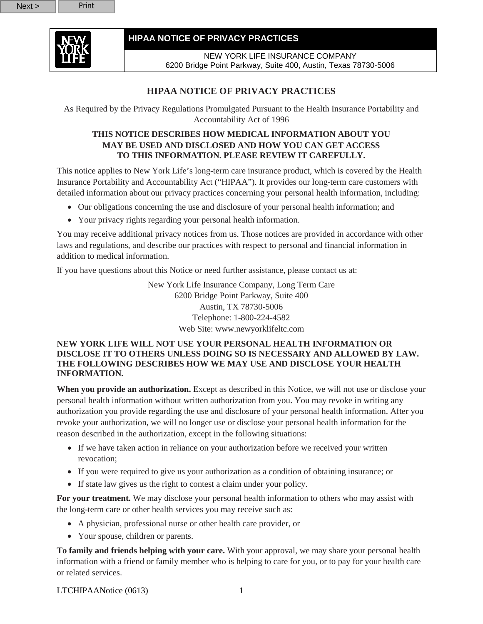

NEW YORK LIFE INSURANCE COMPANY 6200 Bridge Point Parkway, Suite 400, Austin, Texas 78730-5006

## **HIPAA NOTICE OF PRIVACY PRACTICES**

As Required by the Privacy Regulations Promulgated Pursuant to the Health Insurance Portability and Accountability Act of 1996

#### **THIS NOTICE DESCRIBES HOW MEDICAL INFORMATION ABOUT YOU MAY BE USED AND DISCLOSED AND HOW YOU CAN GET ACCESS TO THIS INFORMATION. PLEASE REVIEW IT CAREFULLY.**

This notice applies to New York Life's long-term care insurance product, which is covered by the Health Insurance Portability and Accountability Act ("HIPAA"). It provides our long-term care customers with detailed information about our privacy practices concerning your personal health information, including:

- Our obligations concerning the use and disclosure of your personal health information; and
- Your privacy rights regarding your personal health information.

You may receive additional privacy notices from us. Those notices are provided in accordance with other laws and regulations, and describe our practices with respect to personal and financial information in addition to medical information.

If you have questions about this Notice or need further assistance, please contact us at:

New York Life Insurance Company, Long Term Care 6200 Bridge Point Parkway, Suite 400 Austin, TX 78730-5006 Telephone: 1-800-224-4582 Web Site: www.newyorklifeltc.com

#### **NEW YORK LIFE WILL NOT USE YOUR PERSONAL HEALTH INFORMATION OR DISCLOSE IT TO OTHERS UNLESS DOING SO IS NECESSARY AND ALLOWED BY LAW. THE FOLLOWING DESCRIBES HOW WE MAY USE AND DISCLOSE YOUR HEALTH INFORMATION.**

**When you provide an authorization.** Except as described in this Notice, we will not use or disclose your personal health information without written authorization from you. You may revoke in writing any authorization you provide regarding the use and disclosure of your personal health information. After you revoke your authorization, we will no longer use or disclose your personal health information for the reason described in the authorization, except in the following situations:

- If we have taken action in reliance on your authorization before we received your written revocation;
- If you were required to give us your authorization as a condition of obtaining insurance; or
- If state law gives us the right to contest a claim under your policy.

**For your treatment.** We may disclose your personal health information to others who may assist with the long-term care or other health services you may receive such as:

- A physician, professional nurse or other health care provider, or
- Your spouse, children or parents.

**To family and friends helping with your care.** With your approval, we may share your personal health information with a friend or family member who is helping to care for you, or to pay for your health care or related services.

LTCHIPAANotice (0613) 1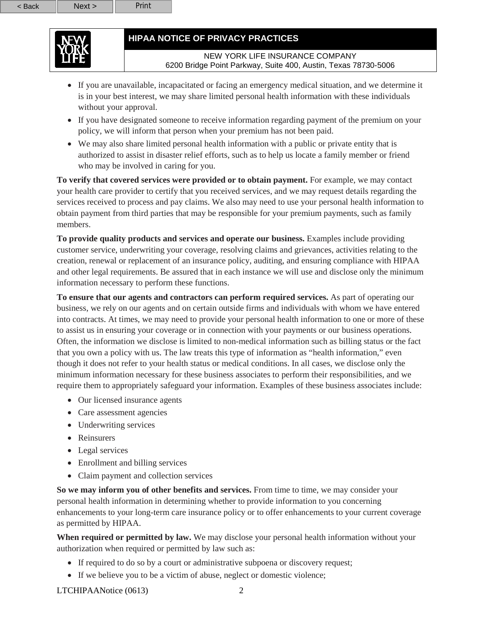

NEW YORK LIFE INSURANCE COMPANY 6200 Bridge Point Parkway, Suite 400, Austin, Texas 78730-5006

- If you are unavailable, incapacitated or facing an emergency medical situation, and we determine it is in your best interest, we may share limited personal health information with these individuals without your approval.
- If you have designated someone to receive information regarding payment of the premium on your policy, we will inform that person when your premium has not been paid.
- We may also share limited personal health information with a public or private entity that is authorized to assist in disaster relief efforts, such as to help us locate a family member or friend who may be involved in caring for you.

**To verify that covered services were provided or to obtain payment.** For example, we may contact your health care provider to certify that you received services, and we may request details regarding the services received to process and pay claims. We also may need to use your personal health information to obtain payment from third parties that may be responsible for your premium payments, such as family members.

**To provide quality products and services and operate our business.** Examples include providing customer service, underwriting your coverage, resolving claims and grievances, activities relating to the creation, renewal or replacement of an insurance policy, auditing, and ensuring compliance with HIPAA and other legal requirements. Be assured that in each instance we will use and disclose only the minimum information necessary to perform these functions.

**To ensure that our agents and contractors can perform required services.** As part of operating our business, we rely on our agents and on certain outside firms and individuals with whom we have entered into contracts. At times, we may need to provide your personal health information to one or more of these to assist us in ensuring your coverage or in connection with your payments or our business operations. Often, the information we disclose is limited to non-medical information such as billing status or the fact that you own a policy with us. The law treats this type of information as "health information," even though it does not refer to your health status or medical conditions. In all cases, we disclose only the minimum information necessary for these business associates to perform their responsibilities, and we require them to appropriately safeguard your information. Examples of these business associates include:

- Our licensed insurance agents
- Care assessment agencies
- Underwriting services
- Reinsurers
- Legal services
- Enrollment and billing services
- Claim payment and collection services

**So we may inform you of other benefits and services.** From time to time, we may consider your personal health information in determining whether to provide information to you concerning enhancements to your long-term care insurance policy or to offer enhancements to your current coverage as permitted by HIPAA.

**When required or permitted by law.** We may disclose your personal health information without your authorization when required or permitted by law such as:

- If required to do so by a court or administrative subpoena or discovery request;
- If we believe you to be a victim of abuse, neglect or domestic violence;

LTCHIPAANotice (0613) 2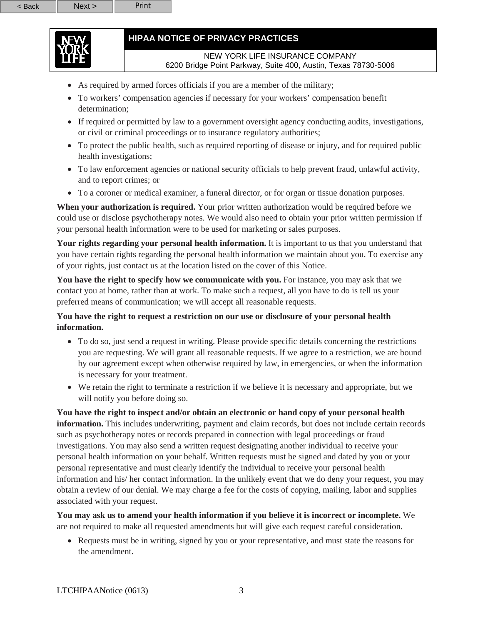### NEW YORK LIFE INSURANCE COMPANY 6200 Bridge Point Parkway, Suite 400, Austin, Texas 78730-5006

- As required by armed forces officials if you are a member of the military;
- To workers' compensation agencies if necessary for your workers' compensation benefit determination:
- If required or permitted by law to a government oversight agency conducting audits, investigations, or civil or criminal proceedings or to insurance regulatory authorities;
- To protect the public health, such as required reporting of disease or injury, and for required public health investigations;
- To law enforcement agencies or national security officials to help prevent fraud, unlawful activity, and to report crimes; or
- To a coroner or medical examiner, a funeral director, or for organ or tissue donation purposes.

**When your authorization is required.** Your prior written authorization would be required before we could use or disclose psychotherapy notes. We would also need to obtain your prior written permission if your personal health information were to be used for marketing or sales purposes.

**Your rights regarding your personal health information.** It is important to us that you understand that you have certain rights regarding the personal health information we maintain about you. To exercise any of your rights, just contact us at the location listed on the cover of this Notice.

You have the right to specify how we communicate with you. For instance, you may ask that we contact you at home, rather than at work. To make such a request, all you have to do is tell us your preferred means of communication; we will accept all reasonable requests.

## **You have the right to request a restriction on our use or disclosure of your personal health information.**

- To do so, just send a request in writing. Please provide specific details concerning the restrictions you are requesting. We will grant all reasonable requests. If we agree to a restriction, we are bound by our agreement except when otherwise required by law, in emergencies, or when the information is necessary for your treatment.
- We retain the right to terminate a restriction if we believe it is necessary and appropriate, but we will notify you before doing so.

**You have the right to inspect and/or obtain an electronic or hand copy of your personal health information.** This includes underwriting, payment and claim records, but does not include certain records such as psychotherapy notes or records prepared in connection with legal proceedings or fraud investigations. You may also send a written request designating another individual to receive your personal health information on your behalf. Written requests must be signed and dated by you or your personal representative and must clearly identify the individual to receive your personal health information and his/ her contact information. In the unlikely event that we do deny your request, you may obtain a review of our denial. We may charge a fee for the costs of copying, mailing, labor and supplies associated with your request.

**You may ask us to amend your health information if you believe it is incorrect or incomplete.** We are not required to make all requested amendments but will give each request careful consideration.

• Requests must be in writing, signed by you or your representative, and must state the reasons for the amendment.